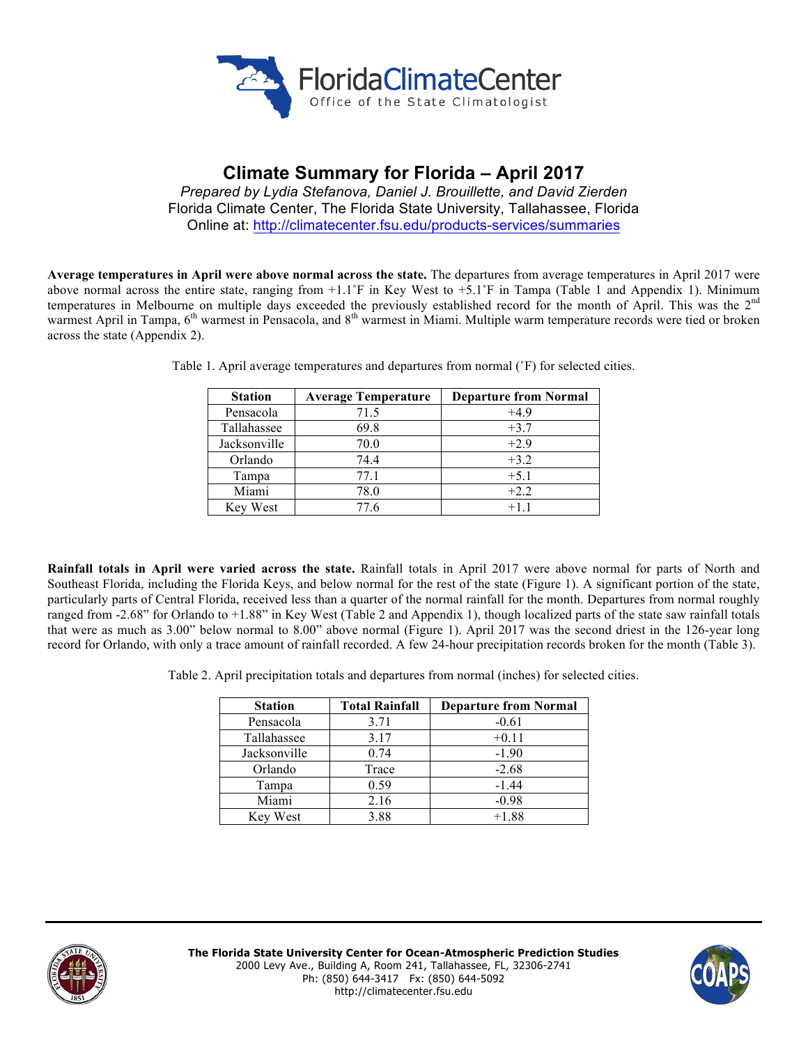

# **Climate Summary for Florida – April 2017**

*Prepared by Lydia Stefanova, Daniel J. Brouillette, and David Zierden* Florida Climate Center, The Florida State University, Tallahassee, Florida Online at: http://climatecenter.fsu.edu/products-services/summaries

**Average temperatures in April were above normal across the state.** The departures from average temperatures in April 2017 were above normal across the entire state, ranging from  $+1.1\textdegree F$  in Key West to  $+5.1\textdegree F$  in Tampa (Table 1 and Appendix 1). Minimum temperatures in Melbourne on multiple days exceeded the previously established record for the month of April. This was the 2<sup>nd</sup> warmest April in Tampa, 6<sup>th</sup> warmest in Pensacola, and 8<sup>th</sup> warmest in Miami. Multiple warm temperature records were tied or broken across the state (Appendix 2).

| <b>Station</b> | <b>Average Temperature</b> | <b>Departure from Normal</b> |
|----------------|----------------------------|------------------------------|
| Pensacola      | 71.5                       | $+4.9$                       |
| Tallahassee    | 69.8                       | $+3.7$                       |
| Jacksonville   | 70.0                       | $+2.9$                       |
| Orlando        | 74.4                       | $+3.2$                       |
| Tampa          | 77.1                       | $+5.1$                       |
| Miami          | 78.0                       | $+2.2$                       |
| Key West       | 77.6                       | $+1$ 1                       |

Table 1. April average temperatures and departures from normal (˚F) for selected cities.

**Rainfall totals in April were varied across the state.** Rainfall totals in April 2017 were above normal for parts of North and Southeast Florida, including the Florida Keys, and below normal for the rest of the state (Figure 1). A significant portion of the state, particularly parts of Central Florida, received less than a quarter of the normal rainfall for the month. Departures from normal roughly ranged from -2.68" for Orlando to +1.88" in Key West (Table 2 and Appendix 1), though localized parts of the state saw rainfall totals that were as much as 3.00" below normal to 8.00" above normal (Figure 1). April 2017 was the second driest in the 126-year long record for Orlando, with only a trace amount of rainfall recorded. A few 24-hour precipitation records broken for the month (Table 3).

Table 2. April precipitation totals and departures from normal (inches) for selected cities.

| <b>Station</b> | <b>Total Rainfall</b> | <b>Departure from Normal</b> |
|----------------|-----------------------|------------------------------|
| Pensacola      | 3.71                  | $-0.61$                      |
| Tallahassee    | 3.17                  | $+0.11$                      |
| Jacksonville   | 0.74                  | $-1.90$                      |
| Orlando        | Trace                 | $-2.68$                      |
| Tampa          | 0.59                  | $-1.44$                      |
| Miami          | 2.16                  | $-0.98$                      |
| Key West       | 3.88                  | $+1.88$                      |



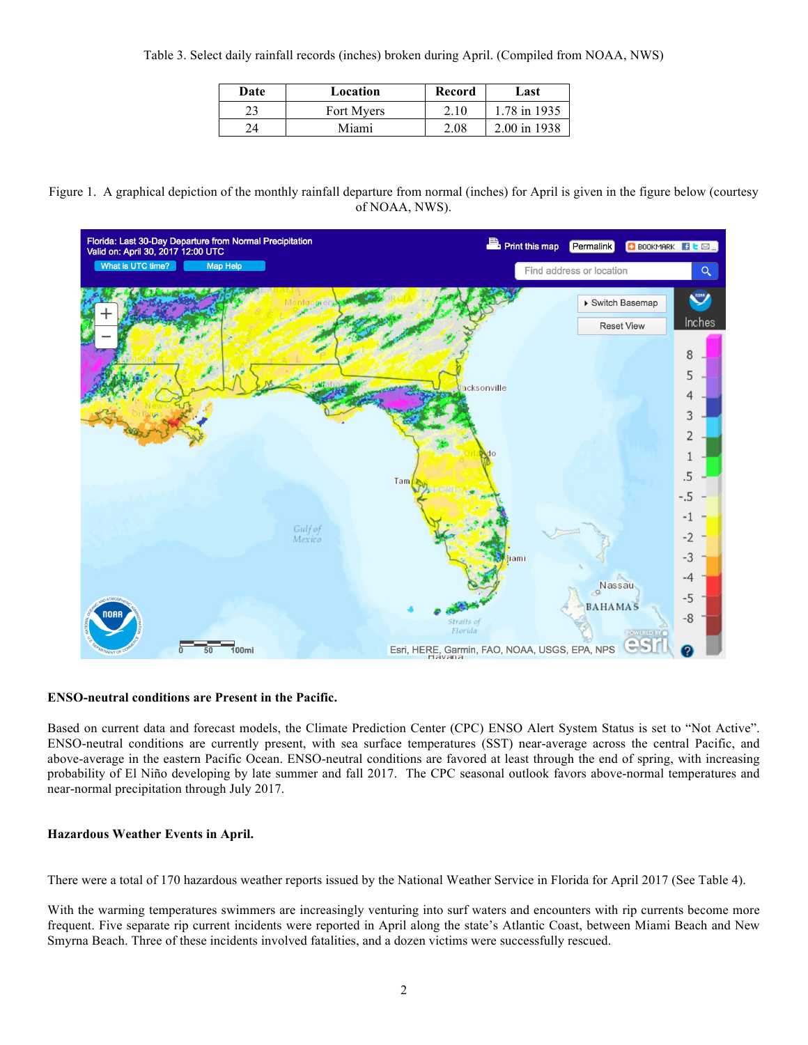| Date | Location   | Record | Last         |
|------|------------|--------|--------------|
| 23   | Fort Myers | 2.10   | 1.78 in 1935 |
| 74   | Miami      | 2.08   | 2.00 in 1938 |

Figure 1. A graphical depiction of the monthly rainfall departure from normal (inches) for April is given in the figure below (courtesy of NOAA, NWS).



## **ENSO-neutral conditions are Present in the Pacific.**

Based on current data and forecast models, the Climate Prediction Center (CPC) ENSO Alert System Status is set to "Not Active". ENSO-neutral conditions are currently present, with sea surface temperatures (SST) near-average across the central Pacific, and above-average in the eastern Pacific Ocean. ENSO-neutral conditions are favored at least through the end of spring, with increasing probability of El Niño developing by late summer and fall 2017. The CPC seasonal outlook favors above-normal temperatures and near-normal precipitation through July 2017.

## **Hazardous Weather Events in April.**

There were a total of 170 hazardous weather reports issued by the National Weather Service in Florida for April 2017 (See Table 4).

With the warming temperatures swimmers are increasingly venturing into surf waters and encounters with rip currents become more frequent. Five separate rip current incidents were reported in April along the state's Atlantic Coast, between Miami Beach and New Smyrna Beach. Three of these incidents involved fatalities, and a dozen victims were successfully rescued.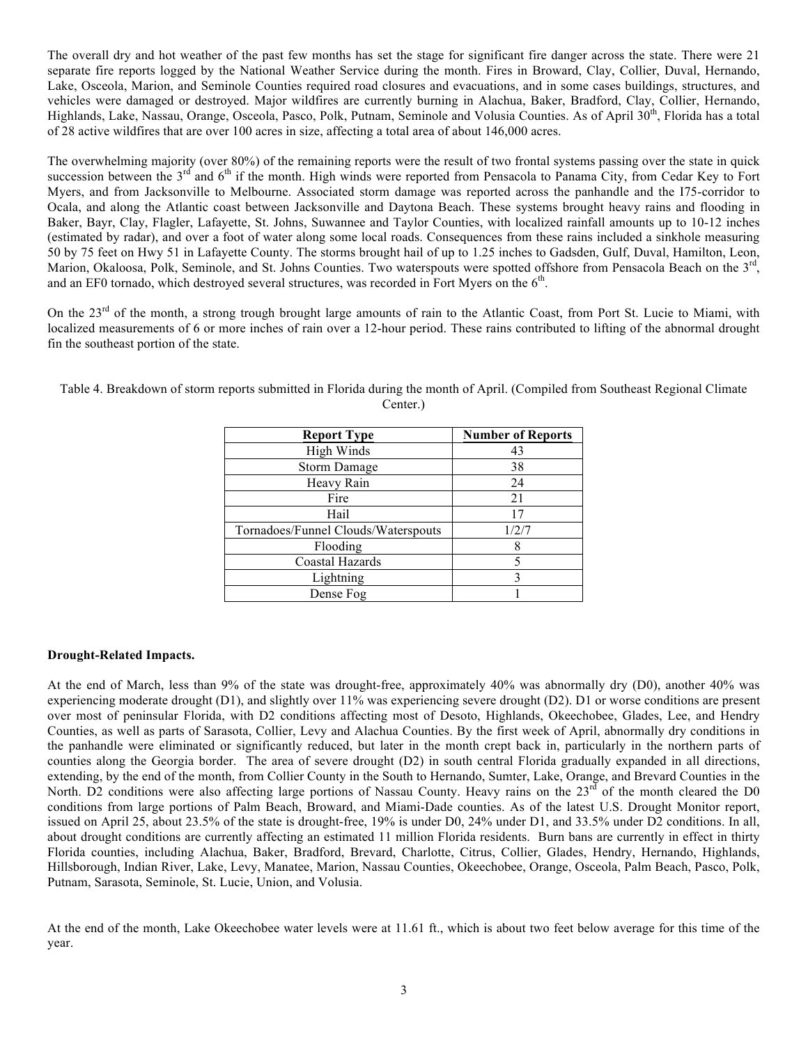The overall dry and hot weather of the past few months has set the stage for significant fire danger across the state. There were 21 separate fire reports logged by the National Weather Service during the month. Fires in Broward, Clay, Collier, Duval, Hernando, Lake, Osceola, Marion, and Seminole Counties required road closures and evacuations, and in some cases buildings, structures, and vehicles were damaged or destroyed. Major wildfires are currently burning in Alachua, Baker, Bradford, Clay, Collier, Hernando, Highlands, Lake, Nassau, Orange, Osceola, Pasco, Polk, Putnam, Seminole and Volusia Counties. As of April 30<sup>th</sup>, Florida has a total of 28 active wildfires that are over 100 acres in size, affecting a total area of about 146,000 acres.

The overwhelming majority (over 80%) of the remaining reports were the result of two frontal systems passing over the state in quick succession between the 3<sup>rd</sup> and 6<sup>th</sup> if the month. High winds were reported from Pensacola to Panama City, from Cedar Key to Fort Myers, and from Jacksonville to Melbourne. Associated storm damage was reported across the panhandle and the I75-corridor to Ocala, and along the Atlantic coast between Jacksonville and Daytona Beach. These systems brought heavy rains and flooding in Baker, Bayr, Clay, Flagler, Lafayette, St. Johns, Suwannee and Taylor Counties, with localized rainfall amounts up to 10-12 inches (estimated by radar), and over a foot of water along some local roads. Consequences from these rains included a sinkhole measuring 50 by 75 feet on Hwy 51 in Lafayette County. The storms brought hail of up to 1.25 inches to Gadsden, Gulf, Duval, Hamilton, Leon, Marion, Okaloosa, Polk, Seminole, and St. Johns Counties. Two waterspouts were spotted offshore from Pensacola Beach on the 3<sup>rd</sup>, and an EF0 tornado, which destroyed several structures, was recorded in Fort Myers on the  $6<sup>th</sup>$ .

On the 23<sup>rd</sup> of the month, a strong trough brought large amounts of rain to the Atlantic Coast, from Port St. Lucie to Miami, with localized measurements of 6 or more inches of rain over a 12-hour period. These rains contributed to lifting of the abnormal drought fin the southeast portion of the state.

| <b>Report Type</b>                  | <b>Number of Reports</b> |
|-------------------------------------|--------------------------|
| High Winds                          | 43                       |
| <b>Storm Damage</b>                 | 38                       |
| Heavy Rain                          | 24                       |
| Fire                                | 21                       |
| Hail                                |                          |
| Tornadoes/Funnel Clouds/Waterspouts | 1/2/7                    |
| Flooding                            |                          |
| Coastal Hazards                     |                          |
| Lightning                           |                          |
| Dense Fog                           |                          |

Table 4. Breakdown of storm reports submitted in Florida during the month of April. (Compiled from Southeast Regional Climate Center.)

### **Drought-Related Impacts.**

At the end of March, less than 9% of the state was drought-free, approximately 40% was abnormally dry (D0), another 40% was experiencing moderate drought (D1), and slightly over 11% was experiencing severe drought (D2). D1 or worse conditions are present over most of peninsular Florida, with D2 conditions affecting most of Desoto, Highlands, Okeechobee, Glades, Lee, and Hendry Counties, as well as parts of Sarasota, Collier, Levy and Alachua Counties. By the first week of April, abnormally dry conditions in the panhandle were eliminated or significantly reduced, but later in the month crept back in, particularly in the northern parts of counties along the Georgia border. The area of severe drought (D2) in south central Florida gradually expanded in all directions, extending, by the end of the month, from Collier County in the South to Hernando, Sumter, Lake, Orange, and Brevard Counties in the North. D2 conditions were also affecting large portions of Nassau County. Heavy rains on the 23<sup>rd</sup> of the month cleared the D0 conditions from large portions of Palm Beach, Broward, and Miami-Dade counties. As of the latest U.S. Drought Monitor report, issued on April 25, about 23.5% of the state is drought-free, 19% is under D0, 24% under D1, and 33.5% under D2 conditions. In all, about drought conditions are currently affecting an estimated 11 million Florida residents. Burn bans are currently in effect in thirty Florida counties, including Alachua, Baker, Bradford, Brevard, Charlotte, Citrus, Collier, Glades, Hendry, Hernando, Highlands, Hillsborough, Indian River, Lake, Levy, Manatee, Marion, Nassau Counties, Okeechobee, Orange, Osceola, Palm Beach, Pasco, Polk, Putnam, Sarasota, Seminole, St. Lucie, Union, and Volusia.

At the end of the month, Lake Okeechobee water levels were at 11.61 ft., which is about two feet below average for this time of the year.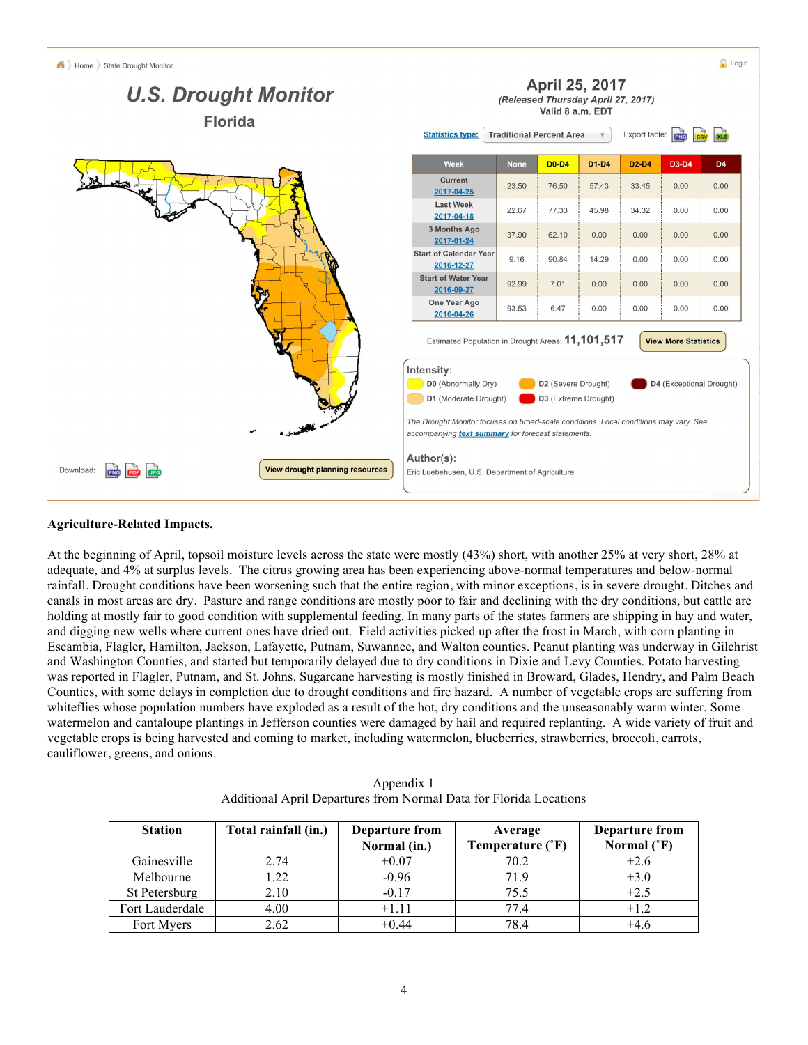

## **Agriculture-Related Impacts.**

At the beginning of April, topsoil moisture levels across the state were mostly (43%) short, with another 25% at very short, 28% at adequate, and 4% at surplus levels. The citrus growing area has been experiencing above-normal temperatures and below-normal rainfall. Drought conditions have been worsening such that the entire region, with minor exceptions, is in severe drought. Ditches and canals in most areas are dry. Pasture and range conditions are mostly poor to fair and declining with the dry conditions, but cattle are holding at mostly fair to good condition with supplemental feeding. In many parts of the states farmers are shipping in hay and water, and digging new wells where current ones have dried out. Field activities picked up after the frost in March, with corn planting in Escambia, Flagler, Hamilton, Jackson, Lafayette, Putnam, Suwannee, and Walton counties. Peanut planting was underway in Gilchrist and Washington Counties, and started but temporarily delayed due to dry conditions in Dixie and Levy Counties. Potato harvesting was reported in Flagler, Putnam, and St. Johns. Sugarcane harvesting is mostly finished in Broward, Glades, Hendry, and Palm Beach Counties, with some delays in completion due to drought conditions and fire hazard. A number of vegetable crops are suffering from whiteflies whose population numbers have exploded as a result of the hot, dry conditions and the unseasonably warm winter. Some watermelon and cantaloupe plantings in Jefferson counties were damaged by hail and required replanting. A wide variety of fruit and vegetable crops is being harvested and coming to market, including watermelon, blueberries, strawberries, broccoli, carrots, cauliflower, greens, and onions.

| <b>Station</b>  | Total rainfall (in.) | Departure from<br>Normal (in.) | Average<br>Temperature (°F) | <b>Departure from</b><br>Normal $(^{\circ}F)$ |
|-----------------|----------------------|--------------------------------|-----------------------------|-----------------------------------------------|
| Gainesville     | 2.74                 | $+0.07$                        | 70.2                        | $+2.6$                                        |
| Melbourne       | 1.22                 | $-0.96$                        | 71.9                        | $+3.0$                                        |
| St Petersburg   | 2.10                 | $-0.17$                        | 75.5                        | $+2.5$                                        |
| Fort Lauderdale | 4.00                 | $+1.11$                        | 77.4                        | $+1.2$                                        |
| Fort Myers      | 2.62                 | $+0.44$                        | 78.4                        | $+4.6$                                        |

| Appendix 1                                                         |
|--------------------------------------------------------------------|
| Additional April Departures from Normal Data for Florida Locations |